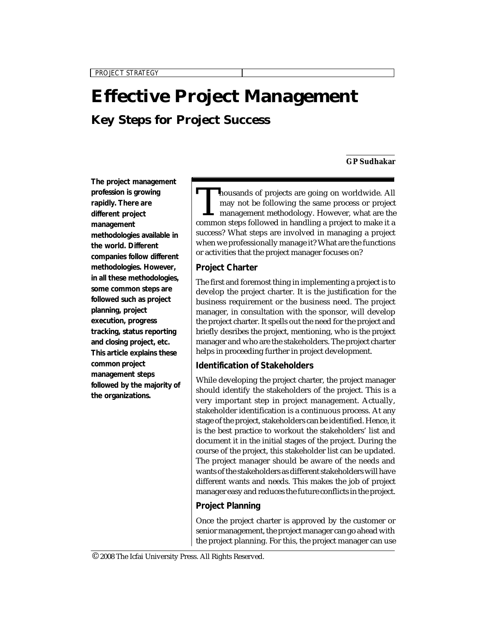# **Effective Project Management**

**Key Steps for Project Success**

#### **GP Sudhakar**

*PROJECT STRATEGY*

**The project management profession is growing rapidly. There are different project management methodologies available in the world. Different companies follow different methodologies. However, in all these methodologies, some common steps are followed such as project planning, project execution, progress tracking, status reporting and closing project, etc. This article explains these common project management steps followed by the majority of the organizations.**

Thousands of projects are going on worldwide. All<br>may not be following the same process or project<br>management methodology. However, what are the<br>common steps followed in handling a project to make it a housands of projects are going on worldwide. All may not be following the same process or project management methodology. However, what are the success? What steps are involved in managing a project when we professionally manage it? What are the functions or activities that the project manager focuses on?

## **Project Charter**

The first and foremost thing in implementing a project is to develop the project charter. It is the justification for the business requirement or the business need. The project manager, in consultation with the sponsor, will develop the project charter. It spells out the need for the project and briefly desribes the project, mentioning, who is the project manager and who are the stakeholders. The project charter helps in proceeding further in project development.

## **Identification of Stakeholders**

While developing the project charter, the project manager should identify the stakeholders of the project. This is a very important step in project management. Actually, stakeholder identification is a continuous process. At any stage of the project, stakeholders can be identified. Hence, it is the best practice to workout the stakeholders' list and document it in the initial stages of the project. During the course of the project, this stakeholder list can be updated. The project manager should be aware of the needs and wants of the stakeholders as different stakeholders will have different wants and needs. This makes the job of project manager easy and reduces the future conflicts in the project.

## **Project Planning**

Once the project charter is approved by the customer or senior management, the project manager can go ahead with the project planning. For this, the project manager can use

 $^\copyright$  2008 The Icfai University Press. All Rights Reserved.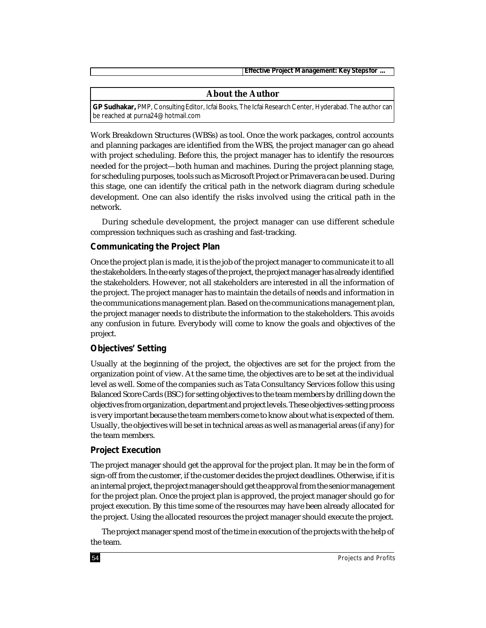*Effective Project Management: Key Steps for ...*

#### **About the Author**

**GP Sudhakar,** PMP, Consulting Editor, Icfai Books, The Icfai Research Center, Hyderabad. The author can be reached at purna24@hotmail.com

Work Breakdown Structures (WBSs) as tool. Once the work packages, control accounts and planning packages are identified from the WBS, the project manager can go ahead with project scheduling. Before this, the project manager has to identify the resources needed for the project—both human and machines. During the project planning stage, for scheduling purposes, tools such as Microsoft Project or Primavera can be used. During this stage, one can identify the critical path in the network diagram during schedule development. One can also identify the risks involved using the critical path in the network.

During schedule development, the project manager can use different schedule compression techniques such as crashing and fast-tracking.

#### **Communicating the Project Plan**

Once the project plan is made, it is the job of the project manager to communicate it to all the stakeholders. In the early stages of the project, the project manager has already identified the stakeholders. However, not all stakeholders are interested in all the information of the project. The project manager has to maintain the details of needs and information in the communications management plan. Based on the communications management plan, the project manager needs to distribute the information to the stakeholders. This avoids any confusion in future. Everybody will come to know the goals and objectives of the project.

# **Objectives' Setting**

Usually at the beginning of the project, the objectives are set for the project from the organization point of view. At the same time, the objectives are to be set at the individual level as well. Some of the companies such as Tata Consultancy Services follow this using Balanced Score Cards (BSC) for setting objectives to the team members by drilling down the objectives from organization, department and project levels. These objectives-setting process is very important because the team members come to know about what is expected of them. Usually, the objectives will be set in technical areas as well as managerial areas (if any) for the team members.

#### **Project Execution**

The project manager should get the approval for the project plan. It may be in the form of sign-off from the customer, if the customer decides the project deadlines. Otherwise, if it is an internal project, the project manager should get the approval from the senior management for the project plan. Once the project plan is approved, the project manager should go for project execution. By this time some of the resources may have been already allocated for the project. Using the allocated resources the project manager should execute the project.

The project manager spend most of the time in execution of the projects with the help of the team.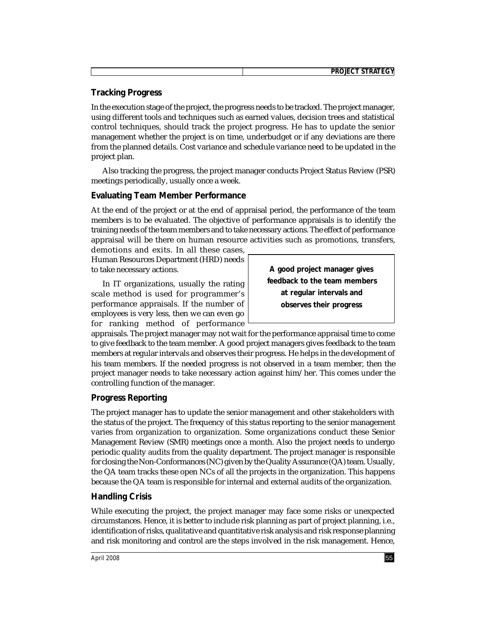|  | <b>PROJECT STRATEGY</b><br><i><b>JIMAILUI</b></i> |
|--|---------------------------------------------------|

# **Tracking Progress**

In the execution stage of the project, the progress needs to be tracked. The project manager, using different tools and techniques such as earned values, decision trees and statistical control techniques, should track the project progress. He has to update the senior management whether the project is on time, underbudget or if any deviations are there from the planned details. Cost variance and schedule variance need to be updated in the project plan.

Also tracking the progress, the project manager conducts Project Status Review (PSR) meetings periodically, usually once a week.

# **Evaluating Team Member Performance**

At the end of the project or at the end of appraisal period, the performance of the team members is to be evaluated. The objective of performance appraisals is to identify the training needs of the team members and to take necessary actions. The effect of performance appraisal will be there on human resource activities such as promotions, transfers,

demotions and exits. In all these cases, Human Resources Department (HRD) needs to take necessary actions.

In IT organizations, usually the rating scale method is used for programmer's performance appraisals. If the number of employees is very less, then we can even go for ranking method of performance

**A good project manager gives feedback to the team members at regular intervals and observes their progress**

appraisals. The project manager may not wait for the performance appraisal time to come to give feedback to the team member. A good project managers gives feedback to the team members at regular intervals and observes their progress. He helps in the development of his team members. If the needed progress is not observed in a team member, then the project manager needs to take necessary action against him/her. This comes under the controlling function of the manager.

# **Progress Reporting**

The project manager has to update the senior management and other stakeholders with the status of the project. The frequency of this status reporting to the senior management varies from organization to organization. Some organizations conduct these Senior Management Review (SMR) meetings once a month. Also the project needs to undergo periodic quality audits from the quality department. The project manager is responsible for closing the Non-Conformances (NC) given by the Quality Assurance (QA) team. Usually, the QA team tracks these open NCs of all the projects in the organization. This happens because the QA team is responsible for internal and external audits of the organization.

# **Handling Crisis**

While executing the project, the project manager may face some risks or unexpected circumstances. Hence, it is better to include risk planning as part of project planning, i.e., identification of risks, qualitative and quantitative risk analysis and risk response planning and risk monitoring and control are the steps involved in the risk management. Hence,